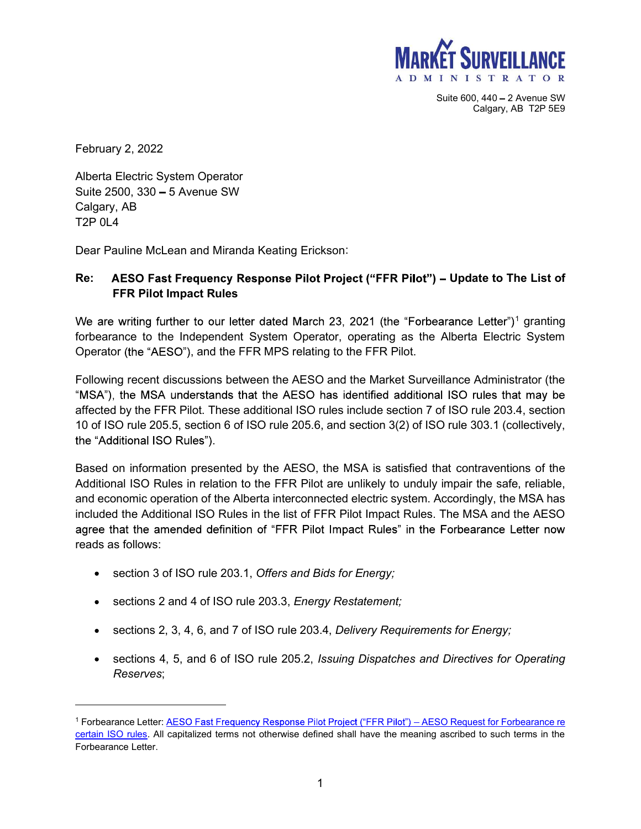

Calgary, AB T2P 5E9

February 2, 2022

Alberta Electric System Operator Suite  $2500$ ,  $330 - 5$  Avenue SW Calgary, AB T2P 0L4

## **MARKE**<br>
February 2, 2022<br>
Alberta Electric System Operator<br>
Suite 2500, 330 – 5 Avenue SW<br>
Calgary, AB<br>
T2P 0L4<br>
Dear Pauline McLean and Miranda Keating Erickson:<br> **Re:** AESO Fast Frequency Response Pilot Project ("FFR Pi Re: AESO Fast Frequency Response Pilot Project ("FFR Pilot") – Update to The List of FFR Pilot Impact Rules

 $^1$  granting  $\overline{\phantom{a}}$ forbearance to the Independent System Operator, operating as the Alberta Electric System

State 60, 440 and 2022<br>
Alberta Electric System Operator<br>
State 600, 440 and 2022<br>
Alberta Electric System Operator<br>
Calgary, AB<br>
Calgary, AB<br>
Calgary, AB<br>
T2P 0L4<br>
Dear Pauline McLean and Miranda Keating Erickson:<br>
T2P 0L Following recent discussions between the AESO and the Market Surveillance Administrator (the February 2, 2022<br>
Alberta Electric System Operator<br>
Calgary, AB<br>
T2P 0L4<br>
Dear Pauline McLean and Miranda Keating Erickson:<br>
Re: AESO Fast Frequency Response Pilot Project ("FFR Pilot") – Update to The List of<br>
FFR Pilot I 10 of ISO rule 205.5, section 6 of ISO rule 205.6, and section 3(2) of ISO rule 303.1 (collectively,

Calgany, AB<br>Calgany, AB<br>T2P 0L4<br>Dear Pauline McLean and Miranda Keating Erickson:<br>**Re:** AESO Fast Frequency Response Pilot Project ("FFR Pilot") – Update to The List of<br>FFR Pilot Impact Rules<br>We are writing further to our Additional ISO Rules in relation to the FFR Pilot are unlikely to unduly impair the safe, reliable, and economic operation of the Alberta interconnected electric system. Accordingly, the MSA has included the Additional ISO Rules in the list of FFR Pilot Impact Rules. The MSA and the AESO reads as follows: mg recent discussions between the AESO and the Market Surveillance Administrator (the<br>the MSA understands that the AESO has identified additional ISO rules that may be<br>by the FFR Pilot. These additional ISO rules include s

- section 3 of ISO rule 203.1, Offers and Bids for Energy;
- **SECTIONS 2 and 4 of ISO rule 203.3, Energy Restatement;**
- 
- sections 4, 5, and 6 of ISO rule 205.2, *Issuing Dispatches and Directives for Operating* Reserves; 1 Forbearance Letter: AESO Request for Forbearance re

certain ISO rules. All capitalized terms not otherwise defined shall have the meaning ascribed to such terms in the Forbearance Letter.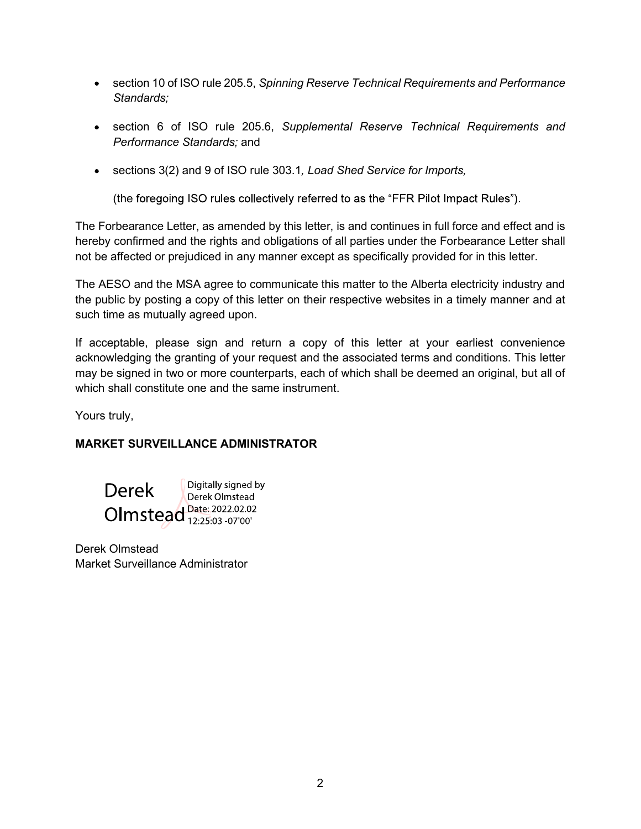- section 10 of ISO rule 205.5, Spinning Reserve Technical Requirements and Performance Standards;
- section 6 of ISO rule 205.6, Supplemental Reserve Technical Requirements and Performance Standards; and
- sections 3(2) and 9 of ISO rule 303.1, Load Shed Service for Imports,

(the foregoing ISO rules collectively referred to as the "FFR Pilot Impact Rules").

The Forbearance Letter, as amended by this letter, is and continues in full force and effect and is hereby confirmed and the rights and obligations of all parties under the Forbearance Letter shall not be affected or prejudiced in any manner except as specifically provided for in this letter.

The AESO and the MSA agree to communicate this matter to the Alberta electricity industry and the public by posting a copy of this letter on their respective websites in a timely manner and at such time as mutually agreed upon.

If acceptable, please sign and return a copy of this letter at your earliest convenience acknowledging the granting of your request and the associated terms and conditions. This letter may be signed in two or more counterparts, each of which shall be deemed an original, but all of which shall constitute one and the same instrument.

Yours truly,

## MARKET SURVEILLANCE ADMINISTRATOR



Derek Olmstead Market Surveillance Administrator